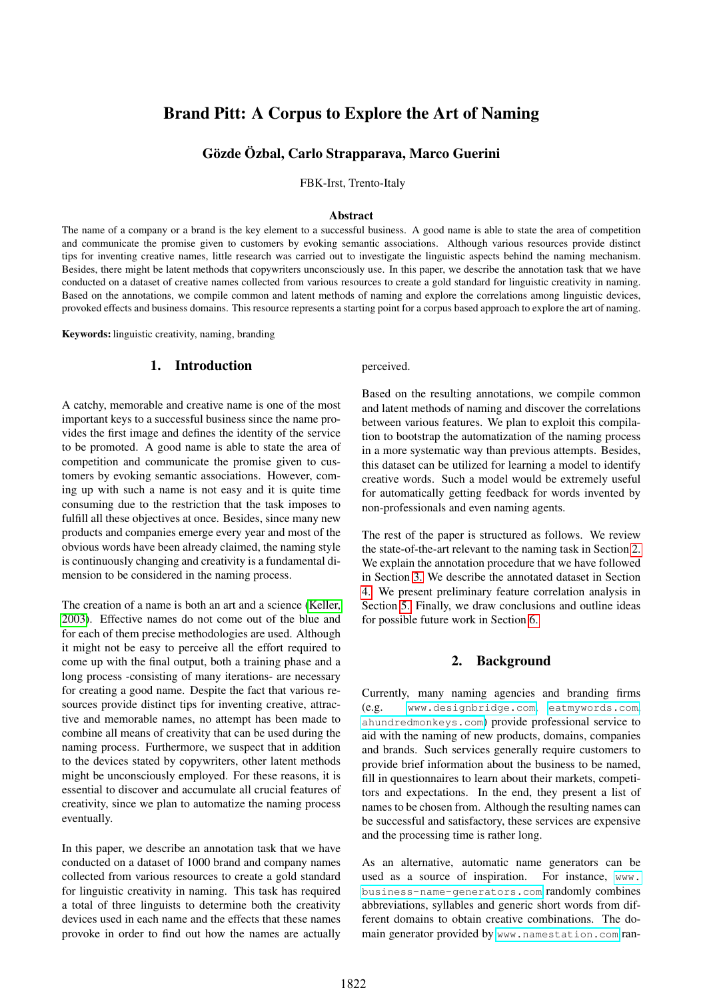# <span id="page-0-1"></span>Brand Pitt: A Corpus to Explore the Art of Naming

# Gözde Özbal, Carlo Strapparava, Marco Guerini

FBK-Irst, Trento-Italy

#### Abstract

The name of a company or a brand is the key element to a successful business. A good name is able to state the area of competition and communicate the promise given to customers by evoking semantic associations. Although various resources provide distinct tips for inventing creative names, little research was carried out to investigate the linguistic aspects behind the naming mechanism. Besides, there might be latent methods that copywriters unconsciously use. In this paper, we describe the annotation task that we have conducted on a dataset of creative names collected from various resources to create a gold standard for linguistic creativity in naming. Based on the annotations, we compile common and latent methods of naming and explore the correlations among linguistic devices, provoked effects and business domains. This resource represents a starting point for a corpus based approach to explore the art of naming.

Keywords: linguistic creativity, naming, branding

## 1. Introduction

A catchy, memorable and creative name is one of the most important keys to a successful business since the name provides the first image and defines the identity of the service to be promoted. A good name is able to state the area of competition and communicate the promise given to customers by evoking semantic associations. However, coming up with such a name is not easy and it is quite time consuming due to the restriction that the task imposes to fulfill all these objectives at once. Besides, since many new products and companies emerge every year and most of the obvious words have been already claimed, the naming style is continuously changing and creativity is a fundamental dimension to be considered in the naming process.

The creation of a name is both an art and a science (Keller, 2003). Effective names do not come out of the blue and for each of them precise methodologies are used. Although it might not be easy to perceive all the effort required to come up with the final output, both a training phase and a long process -consisting of many iterations- are necessary for creating a good name. Despite the fact that various resources provide distinct tips for inventing creative, attractive and memorable names, no attempt has been made to combine all means of creativity that can be used during the naming process. Furthermore, we suspect that in addition to the devices stated by copywriters, other latent methods might be unconsciously employed. For these reasons, it is essential to discover and accumulate all crucial features of creativity, since we plan to automatize the naming process eventually.

In this paper, we describe an annotation task that we have conducted on a dataset of 1000 brand and company names collected from various resources to create a gold standard for linguistic creativity in naming. This task has required a total of three linguists to determine both the creativity devices used in each name and the effects that these names provoke in order to find out how the names are actually perceived.

Based on the resulting annotations, we compile common and latent methods of naming and discover the correlations between various features. We plan to exploit this compilation to bootstrap the automatization of the naming process in a more systematic way than previous attempts. Besides, this dataset can be utilized for learning a model to identify creative words. Such a model would be extremely useful for automatically getting feedback for words invented by non-professionals and even naming agents.

The rest of the paper is structured as follows. We review the state-of-the-art relevant to the naming task in Section [2.](#page-0-0) We explain the annotation procedure that we have followed in Section [3.](#page-1-0) We describe the annotated dataset in Section [4.](#page-2-0) We present preliminary feature correlation analysis in Section [5.](#page-5-0) Finally, we draw conclusions and outline ideas for possible future work in Section [6.](#page-6-0)

#### 2. Background

<span id="page-0-0"></span>Currently, many naming agencies and branding firms (e.g. <www.designbridge.com>, <eatmywords.com>, <ahundredmonkeys.com>) provide professional service to aid with the naming of new products, domains, companies and brands. Such services generally require customers to provide brief information about the business to be named, fill in questionnaires to learn about their markets, competitors and expectations. In the end, they present a list of names to be chosen from. Although the resulting names can be successful and satisfactory, these services are expensive and the processing time is rather long.

As an alternative, automatic name generators can be used as a source of inspiration. For instance, [www.](www.business-name-generators.com) [business-name-generators.com](www.business-name-generators.com) randomly combines abbreviations, syllables and generic short words from different domains to obtain creative combinations. The domain generator provided by <www.namestation.com> ran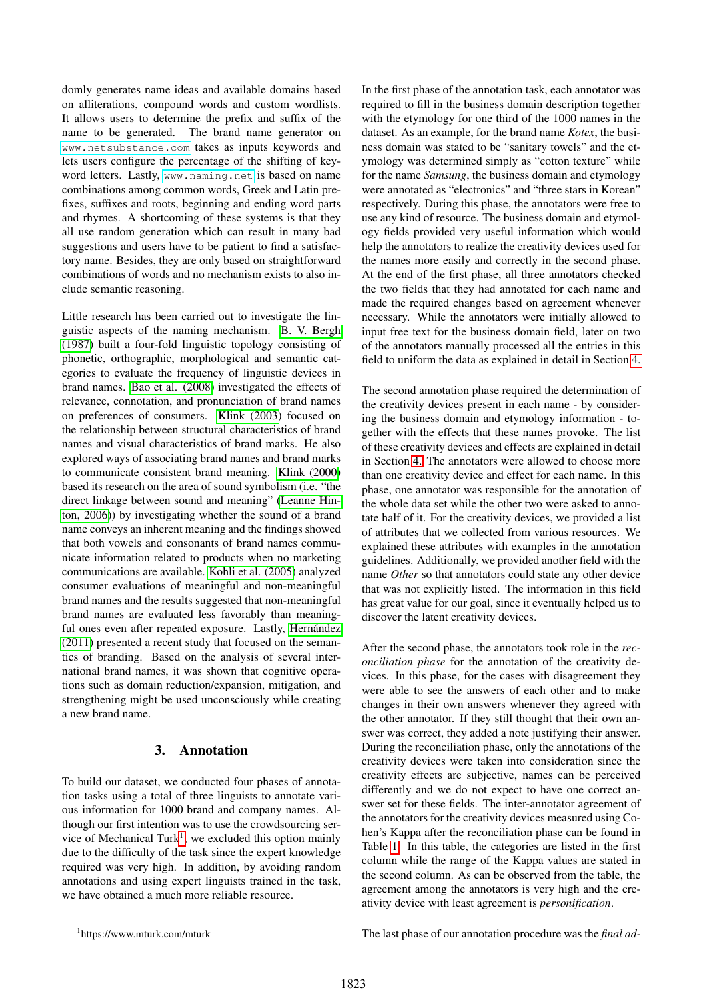domly generates name ideas and available domains based on alliterations, compound words and custom wordlists. It allows users to determine the prefix and suffix of the name to be generated. The brand name generator on <www.netsubstance.com> takes as inputs keywords and lets users configure the percentage of the shifting of keyword letters. Lastly, <www.naming.net> is based on name combinations among common words, Greek and Latin prefixes, suffixes and roots, beginning and ending word parts and rhymes. A shortcoming of these systems is that they all use random generation which can result in many bad suggestions and users have to be patient to find a satisfactory name. Besides, they are only based on straightforward combinations of words and no mechanism exists to also include semantic reasoning.

Little research has been carried out to investigate the linguistic aspects of the naming mechanism. [B. V. Bergh](#page-0-1) [\(1987\)](#page-0-1) built a four-fold linguistic topology consisting of phonetic, orthographic, morphological and semantic categories to evaluate the frequency of linguistic devices in brand names. [Bao et al. \(2008\)](#page-0-1) investigated the effects of relevance, connotation, and pronunciation of brand names on preferences of consumers. [Klink \(2003\)](#page-0-1) focused on the relationship between structural characteristics of brand names and visual characteristics of brand marks. He also explored ways of associating brand names and brand marks to communicate consistent brand meaning. [Klink \(2000\)](#page-0-1) based its research on the area of sound symbolism (i.e. "the direct linkage between sound and meaning" [\(Leanne Hin](#page-0-1)[ton, 2006\)](#page-0-1)) by investigating whether the sound of a brand name conveys an inherent meaning and the findings showed that both vowels and consonants of brand names communicate information related to products when no marketing communications are available. [Kohli et al. \(2005\)](#page-0-1) analyzed consumer evaluations of meaningful and non-meaningful brand names and the results suggested that non-meaningful brand names are evaluated less favorably than meaningful ones even after repeated exposure. Lastly, Hernández [\(2011\)](#page-0-1) presented a recent study that focused on the semantics of branding. Based on the analysis of several international brand names, it was shown that cognitive operations such as domain reduction/expansion, mitigation, and strengthening might be used unconsciously while creating a new brand name.

# 3. Annotation

<span id="page-1-0"></span>To build our dataset, we conducted four phases of annotation tasks using a total of three linguists to annotate various information for 1000 brand and company names. Although our first intention was to use the crowdsourcing ser-vice of Mechanical Turk<sup>[1](#page-1-1)</sup>, we excluded this option mainly due to the difficulty of the task since the expert knowledge required was very high. In addition, by avoiding random annotations and using expert linguists trained in the task, we have obtained a much more reliable resource.

In the first phase of the annotation task, each annotator was required to fill in the business domain description together with the etymology for one third of the 1000 names in the dataset. As an example, for the brand name *Kotex*, the business domain was stated to be "sanitary towels" and the etymology was determined simply as "cotton texture" while for the name *Samsung*, the business domain and etymology were annotated as "electronics" and "three stars in Korean" respectively. During this phase, the annotators were free to use any kind of resource. The business domain and etymology fields provided very useful information which would help the annotators to realize the creativity devices used for the names more easily and correctly in the second phase. At the end of the first phase, all three annotators checked the two fields that they had annotated for each name and made the required changes based on agreement whenever necessary. While the annotators were initially allowed to input free text for the business domain field, later on two of the annotators manually processed all the entries in this field to uniform the data as explained in detail in Section [4.](#page-2-0)

The second annotation phase required the determination of the creativity devices present in each name - by considering the business domain and etymology information - together with the effects that these names provoke. The list of these creativity devices and effects are explained in detail in Section [4.](#page-2-0) The annotators were allowed to choose more than one creativity device and effect for each name. In this phase, one annotator was responsible for the annotation of the whole data set while the other two were asked to annotate half of it. For the creativity devices, we provided a list of attributes that we collected from various resources. We explained these attributes with examples in the annotation guidelines. Additionally, we provided another field with the name *Other* so that annotators could state any other device that was not explicitly listed. The information in this field has great value for our goal, since it eventually helped us to discover the latent creativity devices.

After the second phase, the annotators took role in the *reconciliation phase* for the annotation of the creativity devices. In this phase, for the cases with disagreement they were able to see the answers of each other and to make changes in their own answers whenever they agreed with the other annotator. If they still thought that their own answer was correct, they added a note justifying their answer. During the reconciliation phase, only the annotations of the creativity devices were taken into consideration since the creativity effects are subjective, names can be perceived differently and we do not expect to have one correct answer set for these fields. The inter-annotator agreement of the annotators for the creativity devices measured using Cohen's Kappa after the reconciliation phase can be found in Table [1.](#page-2-1) In this table, the categories are listed in the first column while the range of the Kappa values are stated in the second column. As can be observed from the table, the agreement among the annotators is very high and the creativity device with least agreement is *personification*.

The last phase of our annotation procedure was the *final ad-*

<span id="page-1-1"></span><sup>1</sup> https://www.mturk.com/mturk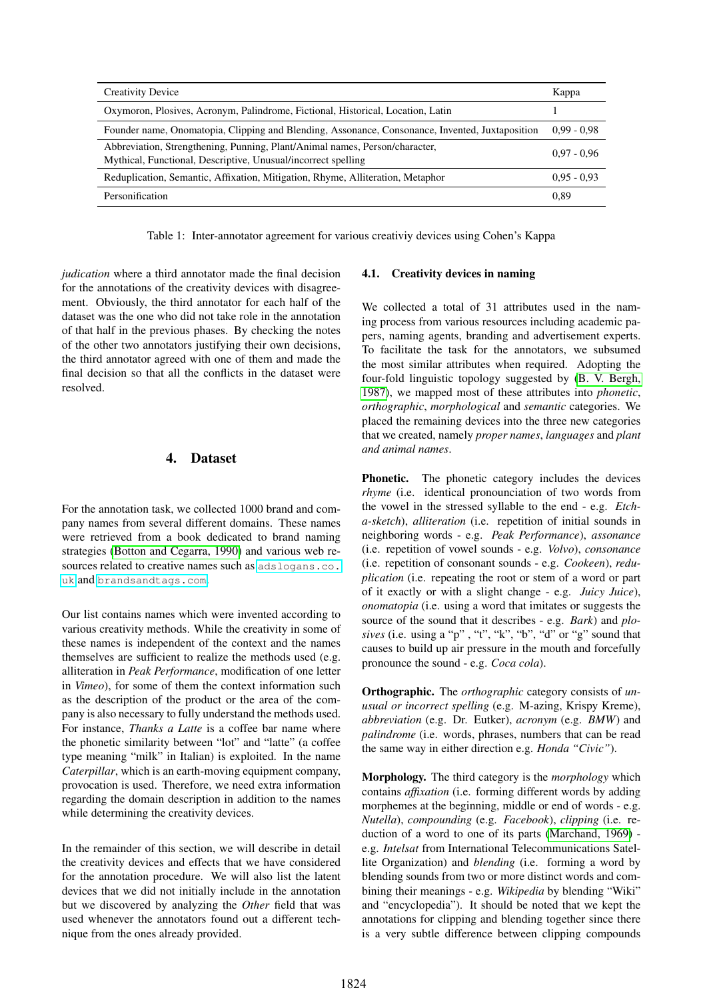| <b>Creativity Device</b>                                                                                                                     | Kappa         |
|----------------------------------------------------------------------------------------------------------------------------------------------|---------------|
| Oxymoron, Plosives, Acronym, Palindrome, Fictional, Historical, Location, Latin                                                              |               |
| Founder name, Onomatopia, Clipping and Blending, Assonance, Consonance, Invented, Juxtaposition                                              | $0.99 - 0.98$ |
| Abbreviation, Strengthening, Punning, Plant/Animal names, Person/character,<br>Mythical, Functional, Descriptive, Unusual/incorrect spelling | $0.97 - 0.96$ |
| Reduplication, Semantic, Affixation, Mitigation, Rhyme, Alliteration, Metaphor                                                               | $0.95 - 0.93$ |
| Personification                                                                                                                              | 0.89          |

<span id="page-2-1"></span>Table 1: Inter-annotator agreement for various creativiy devices using Cohen's Kappa

*judication* where a third annotator made the final decision for the annotations of the creativity devices with disagreement. Obviously, the third annotator for each half of the dataset was the one who did not take role in the annotation of that half in the previous phases. By checking the notes of the other two annotators justifying their own decisions, the third annotator agreed with one of them and made the final decision so that all the conflicts in the dataset were resolved.

# 4. Dataset

<span id="page-2-0"></span>For the annotation task, we collected 1000 brand and company names from several different domains. These names were retrieved from a book dedicated to brand naming strategies [\(Botton and Cegarra, 1990\)](#page-0-1) and various web resources related to creative names such as [adslogans.co.](adslogans.co.uk) [uk](adslogans.co.uk) and <brandsandtags.com>.

Our list contains names which were invented according to various creativity methods. While the creativity in some of these names is independent of the context and the names themselves are sufficient to realize the methods used (e.g. alliteration in *Peak Performance*, modification of one letter in *Vimeo*), for some of them the context information such as the description of the product or the area of the company is also necessary to fully understand the methods used. For instance, *Thanks a Latte* is a coffee bar name where the phonetic similarity between "lot" and "latte" (a coffee type meaning "milk" in Italian) is exploited. In the name *Caterpillar*, which is an earth-moving equipment company, provocation is used. Therefore, we need extra information regarding the domain description in addition to the names while determining the creativity devices.

In the remainder of this section, we will describe in detail the creativity devices and effects that we have considered for the annotation procedure. We will also list the latent devices that we did not initially include in the annotation but we discovered by analyzing the *Other* field that was used whenever the annotators found out a different technique from the ones already provided.

## 4.1. Creativity devices in naming

We collected a total of 31 attributes used in the naming process from various resources including academic papers, naming agents, branding and advertisement experts. To facilitate the task for the annotators, we subsumed the most similar attributes when required. Adopting the four-fold linguistic topology suggested by [\(B. V. Bergh,](#page-0-1) [1987\)](#page-0-1), we mapped most of these attributes into *phonetic*, *orthographic*, *morphological* and *semantic* categories. We placed the remaining devices into the three new categories that we created, namely *proper names*, *languages* and *plant and animal names*.

Phonetic. The phonetic category includes the devices *rhyme* (i.e. identical pronounciation of two words from the vowel in the stressed syllable to the end - e.g. *Etcha-sketch*), *alliteration* (i.e. repetition of initial sounds in neighboring words - e.g. *Peak Performance*), *assonance* (i.e. repetition of vowel sounds - e.g. *Volvo*), *consonance* (i.e. repetition of consonant sounds - e.g. *Cookeen*), *reduplication* (i.e. repeating the root or stem of a word or part of it exactly or with a slight change - e.g. *Juicy Juice*), *onomatopia* (i.e. using a word that imitates or suggests the source of the sound that it describes - e.g. *Bark*) and *plosives* (i.e. using a "p" , "t", "k", "b", "d" or "g" sound that causes to build up air pressure in the mouth and forcefully pronounce the sound - e.g. *Coca cola*).

Orthographic. The *orthographic* category consists of *unusual or incorrect spelling* (e.g. M-azing, Krispy Kreme), *abbreviation* (e.g. Dr. Eutker), *acronym* (e.g. *BMW*) and *palindrome* (i.e. words, phrases, numbers that can be read the same way in either direction e.g. *Honda "Civic"*).

Morphology. The third category is the *morphology* which contains *affixation* (i.e. forming different words by adding morphemes at the beginning, middle or end of words - e.g. *Nutella*), *compounding* (e.g. *Facebook*), *clipping* (i.e. reduction of a word to one of its parts [\(Marchand, 1969\)](#page-0-1) e.g. *Intelsat* from International Telecommunications Satellite Organization) and *blending* (i.e. forming a word by blending sounds from two or more distinct words and combining their meanings - e.g. *Wikipedia* by blending "Wiki" and "encyclopedia"). It should be noted that we kept the annotations for clipping and blending together since there is a very subtle difference between clipping compounds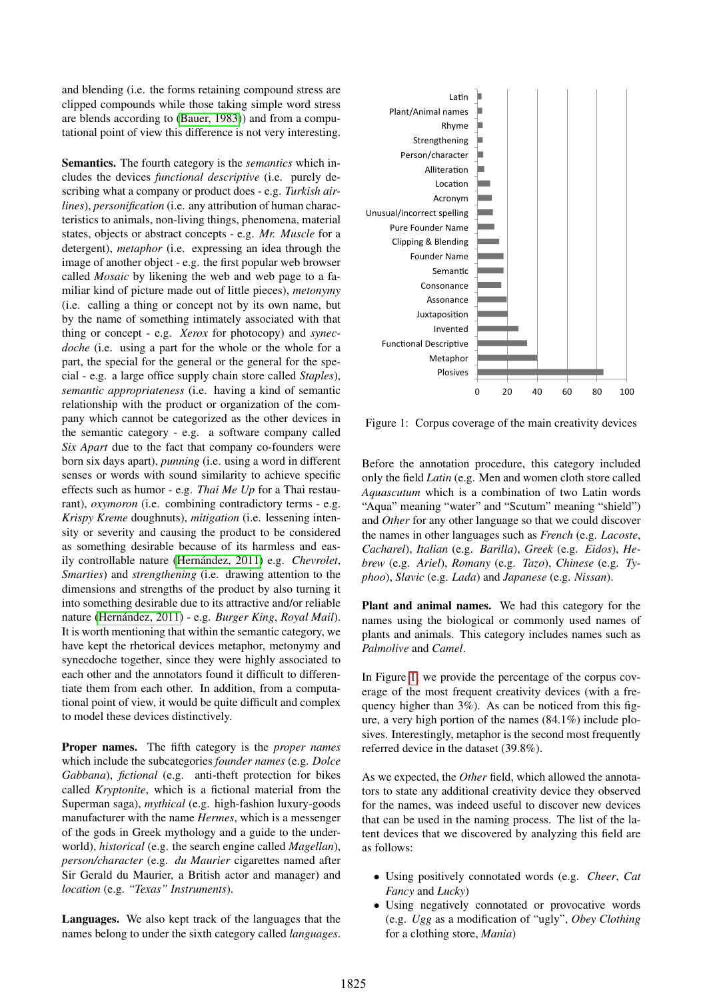and blending (i.e. the forms retaining compound stress are clipped compounds while those taking simple word stress are blends according to [\(Bauer, 1983\)](#page-0-1)) and from a computational point of view this difference is not very interesting.

Semantics. The fourth category is the *semantics* which includes the devices *functional descriptive* (i.e. purely describing what a company or product does - e.g. *Turkish airlines*), *personification* (i.e. any attribution of human characteristics to animals, non-living things, phenomena, material states, objects or abstract concepts - e.g. *Mr. Muscle* for a detergent), *metaphor* (i.e. expressing an idea through the image of another object - e.g. the first popular web browser called *Mosaic* by likening the web and web page to a familiar kind of picture made out of little pieces), *metonymy* (i.e. calling a thing or concept not by its own name, but by the name of something intimately associated with that thing or concept - e.g. *Xerox* for photocopy) and *synecdoche* (i.e. using a part for the whole or the whole for a part, the special for the general or the general for the special - e.g. a large office supply chain store called *Staples*), *semantic appropriateness* (i.e. having a kind of semantic relationship with the product or organization of the company which cannot be categorized as the other devices in the semantic category - e.g. a software company called *Six Apart* due to the fact that company co-founders were born six days apart), *punning* (i.e. using a word in different senses or words with sound similarity to achieve specific effects such as humor - e.g. *Thai Me Up* for a Thai restaurant), *oxymoron* (i.e. combining contradictory terms - e.g. *Krispy Kreme* doughnuts), *mitigation* (i.e. lessening intensity or severity and causing the product to be considered as something desirable because of its harmless and easily controllable nature (Hernández, 2011) e.g. *Chevrolet*, *Smarties*) and *strengthening* (i.e. drawing attention to the dimensions and strengths of the product by also turning it into something desirable due to its attractive and/or reliable nature (Hernández, 2011) - e.g. Burger King, Royal Mail). It is worth mentioning that within the semantic category, we have kept the rhetorical devices metaphor, metonymy and synecdoche together, since they were highly associated to each other and the annotators found it difficult to differentiate them from each other. In addition, from a computational point of view, it would be quite difficult and complex to model these devices distinctively.

Proper names. The fifth category is the *proper names* which include the subcategories *founder names* (e.g. *Dolce Gabbana*), *fictional* (e.g. anti-theft protection for bikes called *Kryptonite*, which is a fictional material from the Superman saga), *mythical* (e.g. high-fashion luxury-goods manufacturer with the name *Hermes*, which is a messenger of the gods in Greek mythology and a guide to the underworld), *historical* (e.g. the search engine called *Magellan*), *person/character* (e.g. *du Maurier* cigarettes named after Sir Gerald du Maurier, a British actor and manager) and *location* (e.g. *"Texas" Instruments*).

Languages. We also kept track of the languages that the names belong to under the sixth category called *languages*.



<span id="page-3-0"></span>Figure 1: Corpus coverage of the main creativity devices

Before the annotation procedure, this category included only the field *Latin* (e.g. Men and women cloth store called *Aquascutum* which is a combination of two Latin words "Aqua" meaning "water" and "Scutum" meaning "shield") and *Other* for any other language so that we could discover the names in other languages such as *French* (e.g. *Lacoste*, *Cacharel*), *Italian* (e.g. *Barilla*), *Greek* (e.g. *Eidos*), *Hebrew* (e.g. *Ariel*), *Romany* (e.g. *Tazo*), *Chinese* (e.g. *Typhoo*), *Slavic* (e.g. *Lada*) and *Japanese* (e.g. *Nissan*).

Plant and animal names. We had this category for the names using the biological or commonly used names of plants and animals. This category includes names such as *Palmolive* and *Camel*.

In Figure [1,](#page-3-0) we provide the percentage of the corpus coverage of the most frequent creativity devices (with a frequency higher than 3%). As can be noticed from this figure, a very high portion of the names (84.1%) include plosives. Interestingly, metaphor is the second most frequently referred device in the dataset (39.8%).

As we expected, the *Other* field, which allowed the annotators to state any additional creativity device they observed for the names, was indeed useful to discover new devices that can be used in the naming process. The list of the latent devices that we discovered by analyzing this field are as follows:

- Using positively connotated words (e.g. *Cheer*, *Cat Fancy* and *Lucky*)
- Using negatively connotated or provocative words (e.g. *Ugg* as a modification of "ugly", *Obey Clothing* for a clothing store, *Mania*)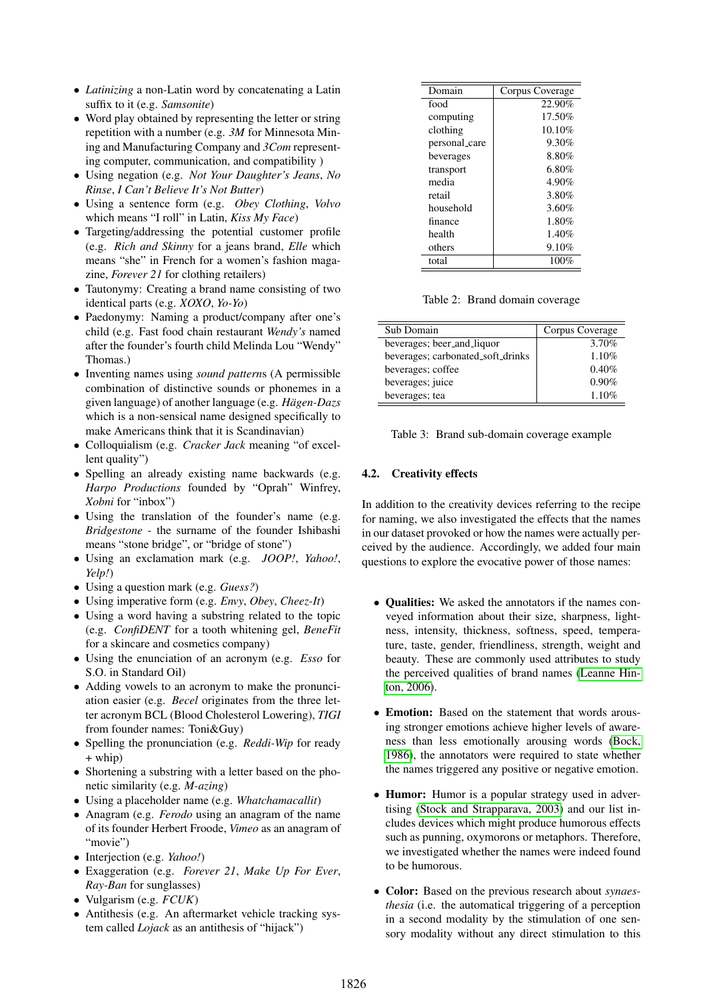- *Latinizing* a non-Latin word by concatenating a Latin suffix to it (e.g. *Samsonite*)
- Word play obtained by representing the letter or string repetition with a number (e.g. *3M* for Minnesota Mining and Manufacturing Company and *3Com* representing computer, communication, and compatibility )
- Using negation (e.g. *Not Your Daughter's Jeans*, *No Rinse*, *I Can't Believe It's Not Butter*)
- Using a sentence form (e.g. *Obey Clothing*, *Volvo* which means "I roll" in Latin, *Kiss My Face*)
- Targeting/addressing the potential customer profile (e.g. *Rich and Skinny* for a jeans brand, *Elle* which means "she" in French for a women's fashion magazine, *Forever 21* for clothing retailers)
- Tautonymy: Creating a brand name consisting of two identical parts (e.g. *XOXO*, *Yo-Yo*)
- Paedonymy: Naming a product/company after one's child (e.g. Fast food chain restaurant *Wendy's* named after the founder's fourth child Melinda Lou "Wendy" Thomas.)
- Inventing names using *sound pattern*s (A permissible combination of distinctive sounds or phonemes in a given language) of another language (e.g. *Hagen-Dazs ¨* which is a non-sensical name designed specifically to make Americans think that it is Scandinavian)
- Colloquialism (e.g. *Cracker Jack* meaning "of excellent quality")
- Spelling an already existing name backwards (e.g. *Harpo Productions* founded by "Oprah" Winfrey, *Xobni* for "inbox")
- Using the translation of the founder's name (e.g. *Bridgestone* - the surname of the founder Ishibashi means "stone bridge", or "bridge of stone")
- Using an exclamation mark (e.g. *JOOP!*, *Yahoo!*, *Yelp!*)
- Using a question mark (e.g. *Guess?*)
- Using imperative form (e.g. *Envy*, *Obey*, *Cheez-It*)
- Using a word having a substring related to the topic (e.g. *ConfiDENT* for a tooth whitening gel, *BeneFit* for a skincare and cosmetics company)
- Using the enunciation of an acronym (e.g. *Esso* for S.O. in Standard Oil)
- Adding vowels to an acronym to make the pronunciation easier (e.g. *Becel* originates from the three letter acronym BCL (Blood Cholesterol Lowering), *TIGI* from founder names: Toni&Guy)
- Spelling the pronunciation (e.g. *Reddi-Wip* for ready + whip)
- Shortening a substring with a letter based on the phonetic similarity (e.g. *M-azing*)
- Using a placeholder name (e.g. *Whatchamacallit*)
- Anagram (e.g. *Ferodo* using an anagram of the name of its founder Herbert Froode, *Vimeo* as an anagram of "movie")
- Interjection (e.g. *Yahoo!*)
- Exaggeration (e.g. *Forever 21*, *Make Up For Ever*, *Ray-Ban* for sunglasses)
- Vulgarism (e.g. *FCUK*)
- Antithesis (e.g. An aftermarket vehicle tracking system called *Lojack* as an antithesis of "hijack")

| Domain        | Corpus Coverage |
|---------------|-----------------|
| food          | 22.90%          |
| computing     | 17.50%          |
| clothing      | 10.10%          |
| personal_care | 9.30%           |
| beverages     | 8.80%           |
| transport     | 6.80%           |
| media         | 4.90%           |
| retail        | 3.80%           |
| household     | 3.60%           |
| finance       | 1.80%           |
| health        | 1.40%           |
| others        | 9.10%           |
| total         | 100%            |

<span id="page-4-0"></span>Table 2: Brand domain coverage

| Sub Domain                        | Corpus Coverage |
|-----------------------------------|-----------------|
| beverages; beer_and_liquor        | 3.70%           |
| beverages; carbonated_soft_drinks | 1.10%           |
| beverages; coffee                 | 0.40%           |
| beverages; juice                  | 0.90%           |
| beverages; tea                    | 1.10%           |

<span id="page-4-1"></span>Table 3: Brand sub-domain coverage example

#### 4.2. Creativity effects

In addition to the creativity devices referring to the recipe for naming, we also investigated the effects that the names in our dataset provoked or how the names were actually perceived by the audience. Accordingly, we added four main questions to explore the evocative power of those names:

- Qualities: We asked the annotators if the names conveyed information about their size, sharpness, lightness, intensity, thickness, softness, speed, temperature, taste, gender, friendliness, strength, weight and beauty. These are commonly used attributes to study the perceived qualities of brand names [\(Leanne Hin](#page-0-1)[ton, 2006\)](#page-0-1).
- Emotion: Based on the statement that words arousing stronger emotions achieve higher levels of awareness than less emotionally arousing words [\(Bock,](#page-0-1) [1986\)](#page-0-1), the annotators were required to state whether the names triggered any positive or negative emotion.
- Humor: Humor is a popular strategy used in advertising [\(Stock and Strapparava, 2003\)](#page-0-1) and our list includes devices which might produce humorous effects such as punning, oxymorons or metaphors. Therefore, we investigated whether the names were indeed found to be humorous.
- Color: Based on the previous research about *synaesthesia* (i.e. the automatical triggering of a perception in a second modality by the stimulation of one sensory modality without any direct stimulation to this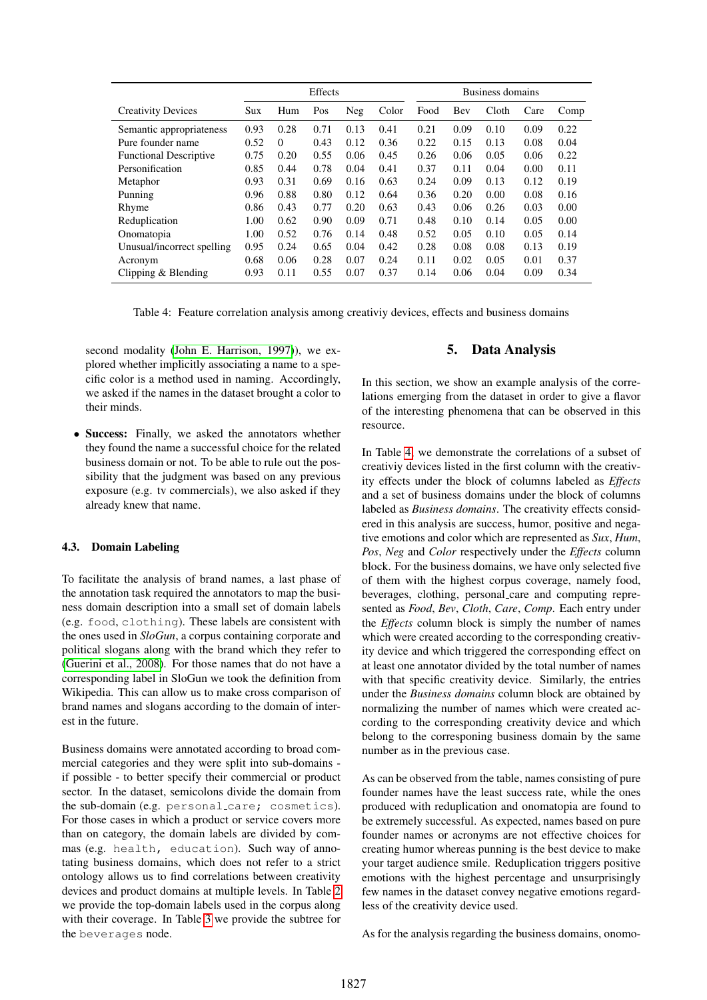|                               | Effects |          |      |      | Business domains |      |      |       |      |      |
|-------------------------------|---------|----------|------|------|------------------|------|------|-------|------|------|
| <b>Creativity Devices</b>     | Sux     | Hum      | Pos  | Neg  | Color            | Food | Bev  | Cloth | Care | Comp |
| Semantic appropriateness      | 0.93    | 0.28     | 0.71 | 0.13 | 0.41             | 0.21 | 0.09 | 0.10  | 0.09 | 0.22 |
| Pure founder name             | 0.52    | $\Omega$ | 0.43 | 0.12 | 0.36             | 0.22 | 0.15 | 0.13  | 0.08 | 0.04 |
| <b>Functional Descriptive</b> | 0.75    | 0.20     | 0.55 | 0.06 | 0.45             | 0.26 | 0.06 | 0.05  | 0.06 | 0.22 |
| Personification               | 0.85    | 0.44     | 0.78 | 0.04 | 0.41             | 0.37 | 0.11 | 0.04  | 0.00 | 0.11 |
| Metaphor                      | 0.93    | 0.31     | 0.69 | 0.16 | 0.63             | 0.24 | 0.09 | 0.13  | 0.12 | 0.19 |
| Punning                       | 0.96    | 0.88     | 0.80 | 0.12 | 0.64             | 0.36 | 0.20 | 0.00  | 0.08 | 0.16 |
| Rhyme                         | 0.86    | 0.43     | 0.77 | 0.20 | 0.63             | 0.43 | 0.06 | 0.26  | 0.03 | 0.00 |
| Reduplication                 | 1.00    | 0.62     | 0.90 | 0.09 | 0.71             | 0.48 | 0.10 | 0.14  | 0.05 | 0.00 |
| Onomatopia                    | 1.00    | 0.52     | 0.76 | 0.14 | 0.48             | 0.52 | 0.05 | 0.10  | 0.05 | 0.14 |
| Unusual/incorrect spelling    | 0.95    | 0.24     | 0.65 | 0.04 | 0.42             | 0.28 | 0.08 | 0.08  | 0.13 | 0.19 |
| Acronym                       | 0.68    | 0.06     | 0.28 | 0.07 | 0.24             | 0.11 | 0.02 | 0.05  | 0.01 | 0.37 |
| Clipping & Blending           | 0.93    | 0.11     | 0.55 | 0.07 | 0.37             | 0.14 | 0.06 | 0.04  | 0.09 | 0.34 |

<span id="page-5-1"></span>Table 4: Feature correlation analysis among creativiy devices, effects and business domains

second modality [\(John E. Harrison, 1997\)](#page-0-1)), we explored whether implicitly associating a name to a specific color is a method used in naming. Accordingly, we asked if the names in the dataset brought a color to their minds.

• Success: Finally, we asked the annotators whether they found the name a successful choice for the related business domain or not. To be able to rule out the possibility that the judgment was based on any previous exposure (e.g. tv commercials), we also asked if they already knew that name.

#### 4.3. Domain Labeling

To facilitate the analysis of brand names, a last phase of the annotation task required the annotators to map the business domain description into a small set of domain labels (e.g. food, clothing). These labels are consistent with the ones used in *SloGun*, a corpus containing corporate and political slogans along with the brand which they refer to [\(Guerini et al., 2008\)](#page-0-1). For those names that do not have a corresponding label in SloGun we took the definition from Wikipedia. This can allow us to make cross comparison of brand names and slogans according to the domain of interest in the future.

Business domains were annotated according to broad commercial categories and they were split into sub-domains if possible - to better specify their commercial or product sector. In the dataset, semicolons divide the domain from the sub-domain (e.g. personal care; cosmetics). For those cases in which a product or service covers more than on category, the domain labels are divided by commas (e.g. health, education). Such way of annotating business domains, which does not refer to a strict ontology allows us to find correlations between creativity devices and product domains at multiple levels. In Table [2](#page-4-0) we provide the top-domain labels used in the corpus along with their coverage. In Table [3](#page-4-1) we provide the subtree for the beverages node.

## 5. Data Analysis

<span id="page-5-0"></span>In this section, we show an example analysis of the correlations emerging from the dataset in order to give a flavor of the interesting phenomena that can be observed in this resource.

In Table [4,](#page-5-1) we demonstrate the correlations of a subset of creativiy devices listed in the first column with the creativity effects under the block of columns labeled as *Effects* and a set of business domains under the block of columns labeled as *Business domains*. The creativity effects considered in this analysis are success, humor, positive and negative emotions and color which are represented as *Sux*, *Hum*, *Pos*, *Neg* and *Color* respectively under the *Effects* column block. For the business domains, we have only selected five of them with the highest corpus coverage, namely food, beverages, clothing, personal care and computing represented as *Food*, *Bev*, *Cloth*, *Care*, *Comp*. Each entry under the *Effects* column block is simply the number of names which were created according to the corresponding creativity device and which triggered the corresponding effect on at least one annotator divided by the total number of names with that specific creativity device. Similarly, the entries under the *Business domains* column block are obtained by normalizing the number of names which were created according to the corresponding creativity device and which belong to the corresponing business domain by the same number as in the previous case.

As can be observed from the table, names consisting of pure founder names have the least success rate, while the ones produced with reduplication and onomatopia are found to be extremely successful. As expected, names based on pure founder names or acronyms are not effective choices for creating humor whereas punning is the best device to make your target audience smile. Reduplication triggers positive emotions with the highest percentage and unsurprisingly few names in the dataset convey negative emotions regardless of the creativity device used.

As for the analysis regarding the business domains, onomo-